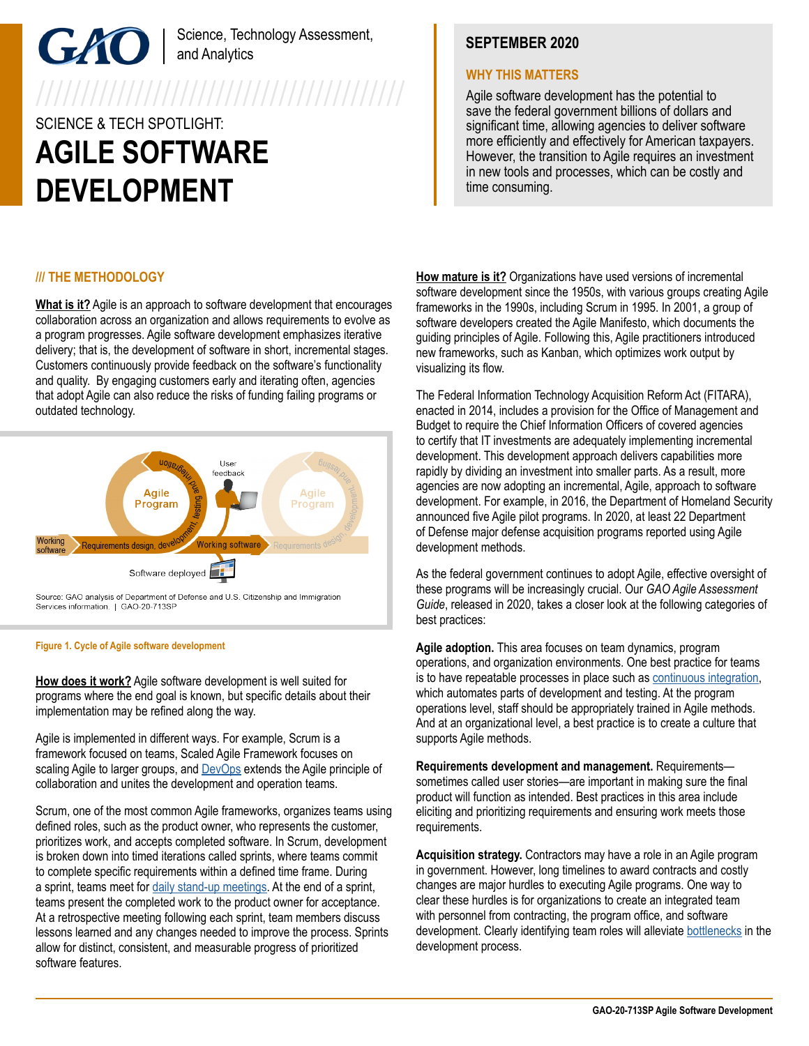# Science, Technology Assessment, and Analytics

# SCIENCE & TECH SPOTLIGHT: **AGILE SOFTWARE DEVELOPMENT**

## **/// THE METHODOLOGY**

**What is it?** Agile is an approach to software development that encourages collaboration across an organization and allows requirements to evolve as a program progresses. Agile software development emphasizes iterative delivery; that is, the development of software in short, incremental stages. Customers continuously provide feedback on the software's functionality and quality. By engaging customers early and iterating often, agencies that adopt Agile can also reduce the risks of funding failing programs or outdated technology.



Source: GAO analysis of Department of Defense and U.S. Citizenship and Immigration Services information. | GAO-20-713SP

#### **Figure 1. Cycle of Agile software development**

**How does it work?** Agile software development is well suited for programs where the end goal is known, but specific details about their implementation may be refined along the way.

Agile is implemented in different ways. For example, Scrum is a framework focused on teams, Scaled Agile Framework focuses on scaling Agile to larger groups, and **[DevOps](https://www.youtube.com/playlist?list=PLOiIp1ZS2ukWAhFJbF7Cv90mc1IizW_2j)** extends the Agile principle of collaboration and unites the development and operation teams.

Scrum, one of the most common Agile frameworks, organizes teams using defined roles, such as the product owner, who represents the customer, prioritizes work, and accepts completed software. In Scrum, development is broken down into timed iterations called sprints, where teams commit to complete specific requirements within a defined time frame. During a sprint, teams meet for [daily stand-up meetings](https://www.youtube.com/playlist?list=PLOiIp1ZS2ukWAhFJbF7Cv90mc1IizW_2j). At the end of a sprint, teams present the completed work to the product owner for acceptance. At a retrospective meeting following each sprint, team members discuss lessons learned and any changes needed to improve the process. Sprints allow for distinct, consistent, and measurable progress of prioritized software features.

# **SEPTEMBER 2020**

### **WHY THIS MATTERS**

Agile software development has the potential to save the federal government billions of dollars and significant time, allowing agencies to deliver software more efficiently and effectively for American taxpayers. However, the transition to Agile requires an investment in new tools and processes, which can be costly and time consuming.

**How mature is it?** Organizations have used versions of incremental software development since the 1950s, with various groups creating Agile frameworks in the 1990s, including Scrum in 1995. In 2001, a group of software developers created the Agile Manifesto, which documents the guiding principles of Agile. Following this, Agile practitioners introduced new frameworks, such as Kanban, which optimizes work output by visualizing its flow.

The Federal Information Technology Acquisition Reform Act (FITARA), enacted in 2014, includes a provision for the Office of Management and Budget to require the Chief Information Officers of covered agencies to certify that IT investments are adequately implementing incremental development. This development approach delivers capabilities more rapidly by dividing an investment into smaller parts. As a result, more agencies are now adopting an incremental, Agile, approach to software development. For example, in 2016, the Department of Homeland Security announced five Agile pilot programs. In 2020, at least 22 Department of Defense major defense acquisition programs reported using Agile development methods.

As the federal government continues to adopt Agile, effective oversight of these programs will be increasingly crucial. Our *GAO Agile Assessment Guide*, released in 2020, takes a closer look at the following categories of best practices:

**Agile adoption.** This area focuses on team dynamics, program operations, and organization environments. One best practice for teams is to have repeatable processes in place such as [continuous integration](https://www.youtube.com/playlist?list=PLOiIp1ZS2ukWAhFJbF7Cv90mc1IizW_2j), which automates parts of development and testing. At the program operations level, staff should be appropriately trained in Agile methods. And at an organizational level, a best practice is to create a culture that supports Agile methods.

**Requirements development and management.** Requirements sometimes called user stories—are important in making sure the final product will function as intended. Best practices in this area include eliciting and prioritizing requirements and ensuring work meets those requirements.

**Acquisition strategy.** Contractors may have a role in an Agile program in government. However, long timelines to award contracts and costly changes are major hurdles to executing Agile programs. One way to clear these hurdles is for organizations to create an integrated team with personnel from contracting, the program office, and software development. Clearly identifying team roles will alleviate [bottlenecks](https://www.youtube.com/playlist?list=PLOiIp1ZS2ukWAhFJbF7Cv90mc1IizW_2j) in the development process.